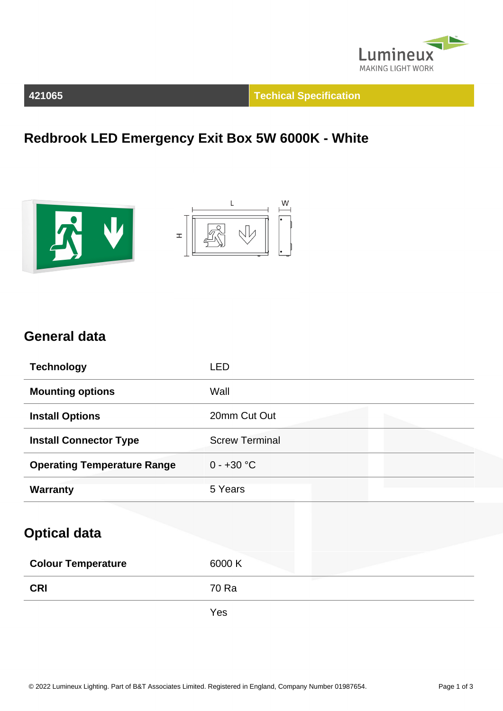

**421065 Techical Specification**

**Redbrook LED Emergency Exit Box 5W 6000K - White**





## **General data**

| <b>Technology</b>                  | <b>LED</b>            |
|------------------------------------|-----------------------|
| <b>Mounting options</b>            | Wall                  |
| <b>Install Options</b>             | 20mm Cut Out          |
| <b>Install Connector Type</b>      | <b>Screw Terminal</b> |
| <b>Operating Temperature Range</b> | $0 - +30 °C$          |
| <b>Warranty</b>                    | 5 Years               |
| <b>Optical data</b>                |                       |
| <b>Colour Temperature</b>          | 6000 K                |
| <b>CRI</b>                         | 70 Ra                 |

Yes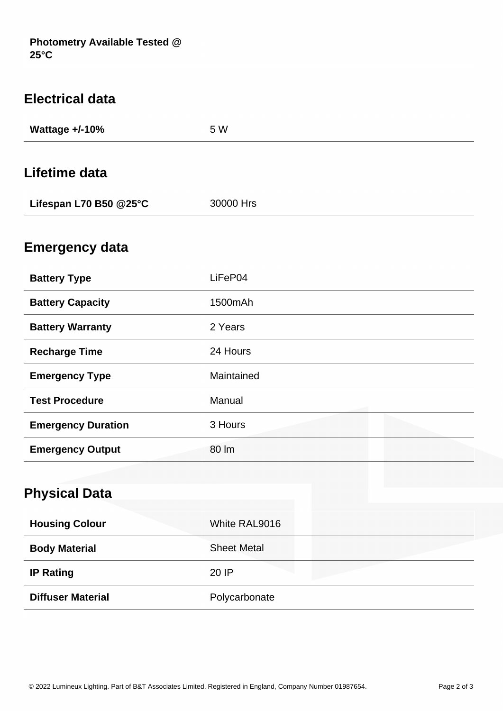| <b>Electrical data</b>    |            |
|---------------------------|------------|
| Wattage +/-10%            | 5 W        |
|                           |            |
| Lifetime data             |            |
| Lifespan L70 B50 @25°C    | 30000 Hrs  |
|                           |            |
| <b>Emergency data</b>     |            |
| <b>Battery Type</b>       | LiFeP04    |
| <b>Battery Capacity</b>   | 1500mAh    |
| <b>Battery Warranty</b>   | 2 Years    |
| <b>Recharge Time</b>      | 24 Hours   |
| <b>Emergency Type</b>     | Maintained |
| <b>Test Procedure</b>     | Manual     |
| <b>Emergency Duration</b> | 3 Hours    |
| <b>Emergency Output</b>   | 80 lm      |
|                           |            |
| <b>Physical Data</b>      |            |
|                           |            |

| <b>Physical Data</b>     |                    |
|--------------------------|--------------------|
| <b>Housing Colour</b>    | White RAL9016      |
| <b>Body Material</b>     | <b>Sheet Metal</b> |
| <b>IP Rating</b>         | 20 IP              |
| <b>Diffuser Material</b> | Polycarbonate      |